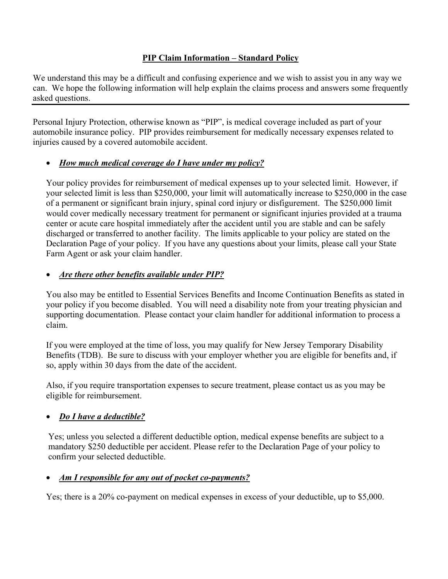#### **PIP Claim Information – Standard Policy**

We understand this may be a difficult and confusing experience and we wish to assist you in any way we can. We hope the following information will help explain the claims process and answers some frequently asked questions.

Personal Injury Protection, otherwise known as "PIP", is medical coverage included as part of your automobile insurance policy. PIP provides reimbursement for medically necessary expenses related to injuries caused by a covered automobile accident.

## • *How much medical coverage do I have under my policy?*

Your policy provides for reimbursement of medical expenses up to your selected limit. However, if your selected limit is less than \$250,000, your limit will automatically increase to \$250,000 in the case of a permanent or significant brain injury, spinal cord injury or disfigurement. The \$250,000 limit would cover medically necessary treatment for permanent or significant injuries provided at a trauma center or acute care hospital immediately after the accident until you are stable and can be safely discharged or transferred to another facility. The limits applicable to your policy are stated on the Declaration Page of your policy. If you have any questions about your limits, please call your State Farm Agent or ask your claim handler.

## • *Are there other benefits available under PIP?*

You also may be entitled to Essential Services Benefits and Income Continuation Benefits as stated in your policy if you become disabled. You will need a disability note from your treating physician and supporting documentation. Please contact your claim handler for additional information to process a claim.

If you were employed at the time of loss, you may qualify for New Jersey Temporary Disability Benefits (TDB). Be sure to discuss with your employer whether you are eligible for benefits and, if so, apply within 30 days from the date of the accident.

Also, if you require transportation expenses to secure treatment, please contact us as you may be eligible for reimbursement.

# • *Do I have a deductible?*

Yes; unless you selected a different deductible option, medical expense benefits are subject to a mandatory \$250 deductible per accident. Please refer to the Declaration Page of your policy to confirm your selected deductible.

## • *Am I responsible for any out of pocket co-payments?*

Yes; there is a 20% co-payment on medical expenses in excess of your deductible, up to \$5,000.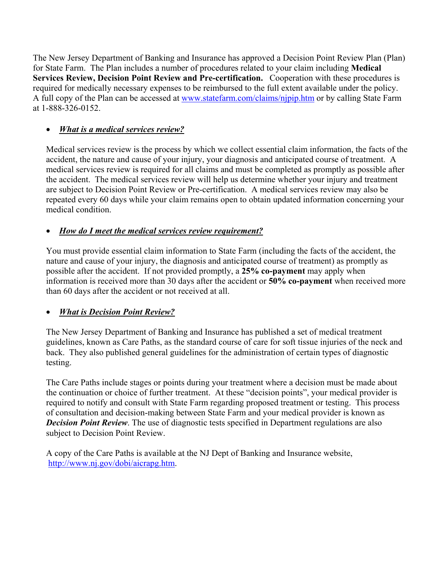The New Jersey Department of Banking and Insurance has approved a Decision Point Review Plan (Plan) for State Farm. The Plan includes a number of procedures related to your claim including **Medical Services Review, Decision Point Review and Pre-certification.** Cooperation with these procedures is required for medically necessary expenses to be reimbursed to the full extent available under the policy. A full copy of the Plan can be accessed at www.statefarm.com/claims/njpip.htm or by calling State Farm at 1-888-326-0152.

## • *What is a medical services review?*

Medical services review is the process by which we collect essential claim information, the facts of the accident, the nature and cause of your injury, your diagnosis and anticipated course of treatment. A medical services review is required for all claims and must be completed as promptly as possible after the accident. The medical services review will help us determine whether your injury and treatment are subject to Decision Point Review or Pre-certification. A medical services review may also be repeated every 60 days while your claim remains open to obtain updated information concerning your medical condition.

## • *How do I meet the medical services review requirement?*

You must provide essential claim information to State Farm (including the facts of the accident, the nature and cause of your injury, the diagnosis and anticipated course of treatment) as promptly as possible after the accident. If not provided promptly, a **25% co-payment** may apply when information is received more than 30 days after the accident or **50% co-payment** when received more than 60 days after the accident or not received at all.

#### • *What is Decision Point Review?*

The New Jersey Department of Banking and Insurance has published a set of medical treatment guidelines, known as Care Paths, as the standard course of care for soft tissue injuries of the neck and back. They also published general guidelines for the administration of certain types of diagnostic testing.

The Care Paths include stages or points during your treatment where a decision must be made about the continuation or choice of further treatment. At these "decision points", your medical provider is required to notify and consult with State Farm regarding proposed treatment or testing. This process of consultation and decision-making between State Farm and your medical provider is known as *Decision Point Review.* The use of diagnostic tests specified in Department regulations are also subject to Decision Point Review.

A copy of the Care Paths is available at the NJ Dept of Banking and Insurance website, http://www.nj.gov/dobi/aicrapg.htm.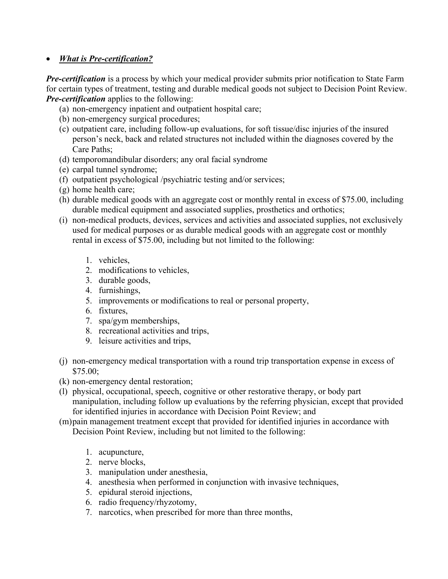#### • *What is Pre-certification?*

*Pre-certification* is a process by which your medical provider submits prior notification to State Farm for certain types of treatment, testing and durable medical goods not subject to Decision Point Review. *Pre-certification* applies to the following:

- (a) non-emergency inpatient and outpatient hospital care;
- (b) non-emergency surgical procedures;
- (c) outpatient care, including follow-up evaluations, for soft tissue/disc injuries of the insured person's neck, back and related structures not included within the diagnoses covered by the Care Paths;
- (d) temporomandibular disorders; any oral facial syndrome
- (e) carpal tunnel syndrome;
- (f) outpatient psychological /psychiatric testing and/or services;
- (g) home health care;
- (h) durable medical goods with an aggregate cost or monthly rental in excess of \$75.00, including durable medical equipment and associated supplies, prosthetics and orthotics;
- (i) non-medical products, devices, services and activities and associated supplies, not exclusively used for medical purposes or as durable medical goods with an aggregate cost or monthly rental in excess of \$75.00, including but not limited to the following:
	- 1. vehicles,
	- 2. modifications to vehicles,
	- 3. durable goods,
	- 4. furnishings,
	- 5. improvements or modifications to real or personal property,
	- 6. fixtures,
	- 7. spa/gym memberships,
	- 8. recreational activities and trips,
	- 9. leisure activities and trips,
- (j) non-emergency medical transportation with a round trip transportation expense in excess of \$75.00;
- (k) non-emergency dental restoration;
- (l) physical, occupational, speech, cognitive or other restorative therapy, or body part manipulation, including follow up evaluations by the referring physician, except that provided for identified injuries in accordance with Decision Point Review; and
- (m)pain management treatment except that provided for identified injuries in accordance with Decision Point Review, including but not limited to the following:
	- 1. acupuncture,
	- 2. nerve blocks,
	- 3. manipulation under anesthesia,
	- 4. anesthesia when performed in conjunction with invasive techniques,
	- 5. epidural steroid injections,
	- 6. radio frequency/rhyzotomy,
	- 7. narcotics, when prescribed for more than three months,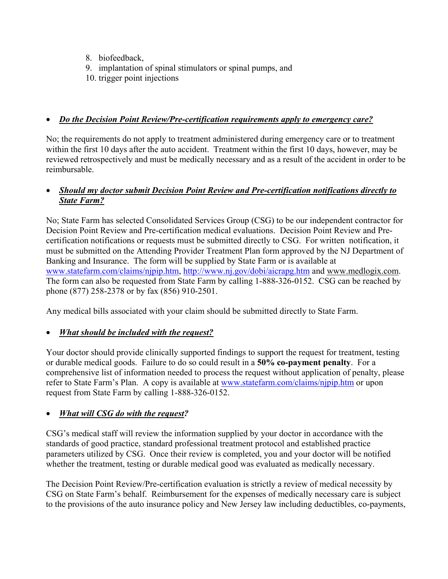- 8. biofeedback,
- 9. implantation of spinal stimulators or spinal pumps, and
- 10. trigger point injections

#### • *Do the Decision Point Review/Pre-certification requirements apply to emergency care?*

No; the requirements do not apply to treatment administered during emergency care or to treatment within the first 10 days after the auto accident. Treatment within the first 10 days, however, may be reviewed retrospectively and must be medically necessary and as a result of the accident in order to be reimbursable.

## • *Should my doctor submit Decision Point Review and Pre-certification notifications directly to State Farm?*

No; State Farm has selected Consolidated Services Group (CSG) to be our independent contractor for Decision Point Review and Pre-certification medical evaluations. Decision Point Review and Precertification notifications or requests must be submitted directly to CSG. For written notification, it must be submitted on the Attending Provider Treatment Plan form approved by the NJ Department of Banking and Insurance. The form will be supplied by State Farm or is available at www.statefarm.com/claims/njpip.htm, http://www.nj.gov/dobi/aicrapg.htm and www.medlogix.com. The form can also be requested from State Farm by calling 1-888-326-0152. CSG can be reached by phone (877) 258-2378 or by fax (856) 910-2501.

Any medical bills associated with your claim should be submitted directly to State Farm.

## • *What should be included with the request?*

Your doctor should provide clinically supported findings to support the request for treatment, testing or durable medical goods. Failure to do so could result in a **50% co-payment penalty**. For a comprehensive list of information needed to process the request without application of penalty, please refer to State Farm's Plan. A copy is available at www.statefarm.com/claims/nipip.htm or upon request from State Farm by calling 1-888-326-0152.

## • *What will CSG do with the request?*

CSG's medical staff will review the information supplied by your doctor in accordance with the standards of good practice, standard professional treatment protocol and established practice parameters utilized by CSG. Once their review is completed, you and your doctor will be notified whether the treatment, testing or durable medical good was evaluated as medically necessary.

The Decision Point Review/Pre-certification evaluation is strictly a review of medical necessity by CSG on State Farm's behalf. Reimbursement for the expenses of medically necessary care is subject to the provisions of the auto insurance policy and New Jersey law including deductibles, co-payments,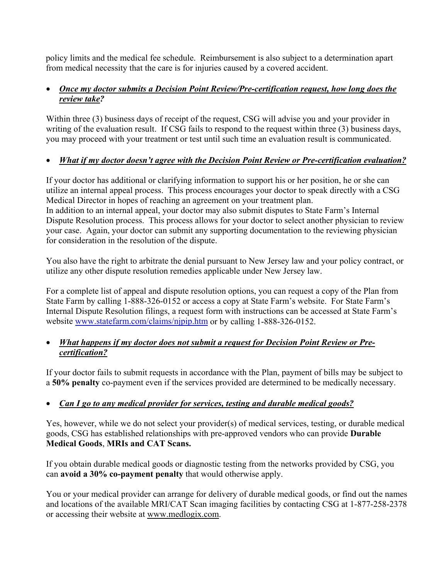policy limits and the medical fee schedule. Reimbursement is also subject to a determination apart from medical necessity that the care is for injuries caused by a covered accident.

#### • *Once my doctor submits a Decision Point Review/Pre-certification request, how long does the review take?*

Within three (3) business days of receipt of the request, CSG will advise you and your provider in writing of the evaluation result. If CSG fails to respond to the request within three (3) business days, you may proceed with your treatment or test until such time an evaluation result is communicated.

## • *What if my doctor doesn't agree with the Decision Point Review or Pre-certification evaluation?*

If your doctor has additional or clarifying information to support his or her position, he or she can utilize an internal appeal process. This process encourages your doctor to speak directly with a CSG Medical Director in hopes of reaching an agreement on your treatment plan. In addition to an internal appeal, your doctor may also submit disputes to State Farm's Internal Dispute Resolution process. This process allows for your doctor to select another physician to review your case. Again, your doctor can submit any supporting documentation to the reviewing physician for consideration in the resolution of the dispute.

You also have the right to arbitrate the denial pursuant to New Jersey law and your policy contract, or utilize any other dispute resolution remedies applicable under New Jersey law.

For a complete list of appeal and dispute resolution options, you can request a copy of the Plan from State Farm by calling 1-888-326-0152 or access a copy at State Farm's website. For State Farm's Internal Dispute Resolution filings, a request form with instructions can be accessed at State Farm's website www.statefarm.com/claims/njpip.htm or by calling 1-888-326-0152.

#### • *What happens if my doctor does not submit a request for Decision Point Review or Precertification?*

If your doctor fails to submit requests in accordance with the Plan, payment of bills may be subject to a **50% penalty** co-payment even if the services provided are determined to be medically necessary.

# • *Can I go to any medical provider for services, testing and durable medical goods?*

Yes, however, while we do not select your provider(s) of medical services, testing, or durable medical goods, CSG has established relationships with pre-approved vendors who can provide **Durable Medical Goods**, **MRIs and CAT Scans.** 

If you obtain durable medical goods or diagnostic testing from the networks provided by CSG, you can **avoid a 30% co-payment penalty** that would otherwise apply.

You or your medical provider can arrange for delivery of durable medical goods, or find out the names and locations of the available MRI/CAT Scan imaging facilities by contacting CSG at 1-877-258-2378 or accessing their website at www.medlogix.com.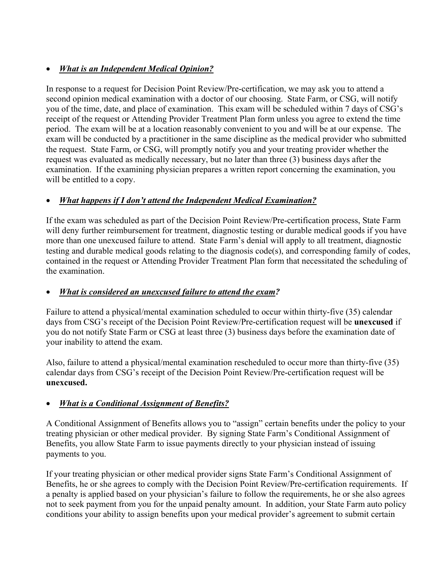## • *What is an Independent Medical Opinion?*

In response to a request for Decision Point Review/Pre-certification, we may ask you to attend a second opinion medical examination with a doctor of our choosing. State Farm, or CSG, will notify you of the time, date, and place of examination. This exam will be scheduled within 7 days of CSG's receipt of the request or Attending Provider Treatment Plan form unless you agree to extend the time period. The exam will be at a location reasonably convenient to you and will be at our expense. The exam will be conducted by a practitioner in the same discipline as the medical provider who submitted the request. State Farm, or CSG, will promptly notify you and your treating provider whether the request was evaluated as medically necessary, but no later than three (3) business days after the examination. If the examining physician prepares a written report concerning the examination, you will be entitled to a copy.

## • *What happens if I don't attend the Independent Medical Examination?*

If the exam was scheduled as part of the Decision Point Review/Pre-certification process, State Farm will deny further reimbursement for treatment, diagnostic testing or durable medical goods if you have more than one unexcused failure to attend. State Farm's denial will apply to all treatment, diagnostic testing and durable medical goods relating to the diagnosis code(s), and corresponding family of codes, contained in the request or Attending Provider Treatment Plan form that necessitated the scheduling of the examination.

## • *What is considered an unexcused failure to attend the exam?*

Failure to attend a physical/mental examination scheduled to occur within thirty-five (35) calendar days from CSG's receipt of the Decision Point Review/Pre-certification request will be **unexcused** if you do not notify State Farm or CSG at least three (3) business days before the examination date of your inability to attend the exam.

Also, failure to attend a physical/mental examination rescheduled to occur more than thirty-five (35) calendar days from CSG's receipt of the Decision Point Review/Pre-certification request will be **unexcused.** 

# • *What is a Conditional Assignment of Benefits?*

A Conditional Assignment of Benefits allows you to "assign" certain benefits under the policy to your treating physician or other medical provider. By signing State Farm's Conditional Assignment of Benefits, you allow State Farm to issue payments directly to your physician instead of issuing payments to you.

If your treating physician or other medical provider signs State Farm's Conditional Assignment of Benefits, he or she agrees to comply with the Decision Point Review/Pre-certification requirements. If a penalty is applied based on your physician's failure to follow the requirements, he or she also agrees not to seek payment from you for the unpaid penalty amount. In addition, your State Farm auto policy conditions your ability to assign benefits upon your medical provider's agreement to submit certain